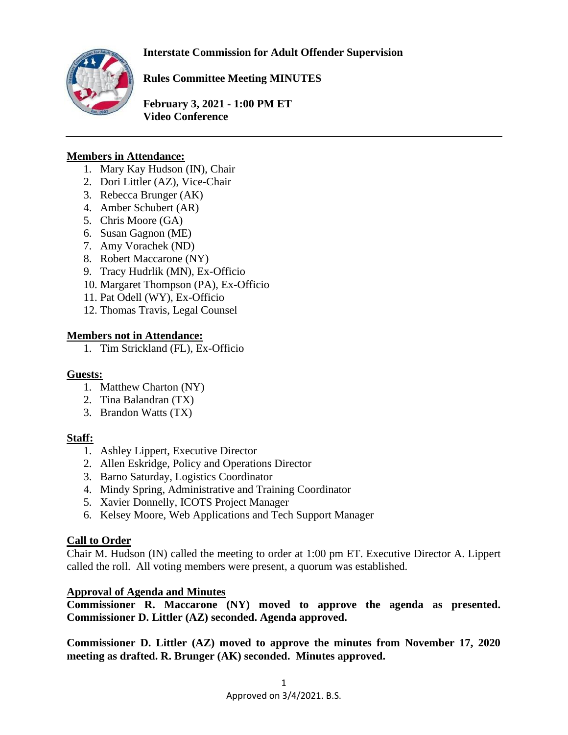**Interstate Commission for Adult Offender Supervision**



**Rules Committee Meeting MINUTES**

**February 3, 2021 - 1:00 PM ET Video Conference** 

# **Members in Attendance:**

- 1. Mary Kay Hudson (IN), Chair
- 2. Dori Littler (AZ), Vice-Chair
- 3. Rebecca Brunger (AK)
- 4. Amber Schubert (AR)
- 5. Chris Moore (GA)
- 6. Susan Gagnon (ME)
- 7. Amy Vorachek (ND)
- 8. Robert Maccarone (NY)
- 9. Tracy Hudrlik (MN), Ex-Officio
- 10. Margaret Thompson (PA), Ex-Officio
- 11. Pat Odell (WY), Ex-Officio
- 12. Thomas Travis, Legal Counsel

# **Members not in Attendance:**

1. Tim Strickland (FL), Ex-Officio

# **Guests:**

- $\overline{1}$ . Matthew Charton (NY)
- 2. Tina Balandran (TX)
- 3. Brandon Watts (TX)

# **Staff:**

- 1. Ashley Lippert, Executive Director
- 2. Allen Eskridge, Policy and Operations Director
- 3. Barno Saturday, Logistics Coordinator
- 4. Mindy Spring, Administrative and Training Coordinator
- 5. Xavier Donnelly, ICOTS Project Manager
- 6. Kelsey Moore, Web Applications and Tech Support Manager

# **Call to Order**

Chair M. Hudson (IN) called the meeting to order at 1:00 pm ET. Executive Director A. Lippert called the roll. All voting members were present, a quorum was established.

# **Approval of Agenda and Minutes**

**Commissioner R. Maccarone (NY) moved to approve the agenda as presented. Commissioner D. Littler (AZ) seconded. Agenda approved.** 

**Commissioner D. Littler (AZ) moved to approve the minutes from November 17, 2020 meeting as drafted. R. Brunger (AK) seconded. Minutes approved.**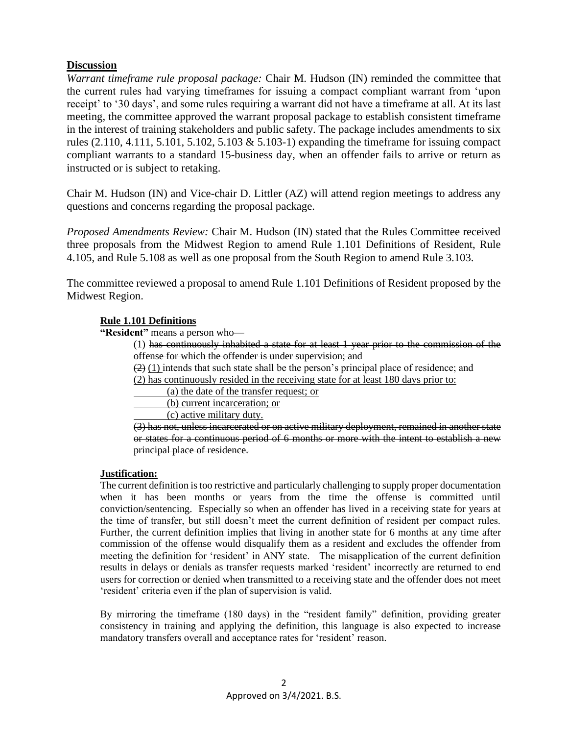### **Discussion**

*Warrant timeframe rule proposal package:* Chair M. Hudson (IN) reminded the committee that the current rules had varying timeframes for issuing a compact compliant warrant from 'upon receipt' to '30 days', and some rules requiring a warrant did not have a timeframe at all. At its last meeting, the committee approved the warrant proposal package to establish consistent timeframe in the interest of training stakeholders and public safety. The package includes amendments to six rules (2.110, 4.111, 5.101, 5.102, 5.103 & 5.103-1) expanding the timeframe for issuing compact compliant warrants to a standard 15-business day, when an offender fails to arrive or return as instructed or is subject to retaking.

Chair M. Hudson (IN) and Vice-chair D. Littler (AZ) will attend region meetings to address any questions and concerns regarding the proposal package.

*Proposed Amendments Review:* Chair M. Hudson (IN) stated that the Rules Committee received three proposals from the Midwest Region to amend Rule 1.101 Definitions of Resident, Rule 4.105, and Rule 5.108 as well as one proposal from the South Region to amend Rule 3.103.

The committee reviewed a proposal to amend Rule 1.101 Definitions of Resident proposed by the Midwest Region.

### **Rule 1.101 Definitions**

**"Resident"** means a person who—

(1) has continuously inhabited a state for at least 1 year prior to the commission of the offense for which the offender is under supervision; and

 $(2)$  (1) intends that such state shall be the person's principal place of residence; and

(2) has continuously resided in the receiving state for at least 180 days prior to:

(a) the date of the transfer request; or

(b) current incarceration; or

(c) active military duty.

(3) has not, unless incarcerated or on active military deployment, remained in another state or states for a continuous period of 6 months or more with the intent to establish a new principal place of residence.

#### **Justification:**

The current definition is too restrictive and particularly challenging to supply proper documentation when it has been months or years from the time the offense is committed until conviction/sentencing. Especially so when an offender has lived in a receiving state for years at the time of transfer, but still doesn't meet the current definition of resident per compact rules. Further, the current definition implies that living in another state for 6 months at any time after commission of the offense would disqualify them as a resident and excludes the offender from meeting the definition for 'resident' in ANY state. The misapplication of the current definition results in delays or denials as transfer requests marked 'resident' incorrectly are returned to end users for correction or denied when transmitted to a receiving state and the offender does not meet 'resident' criteria even if the plan of supervision is valid.

By mirroring the timeframe (180 days) in the "resident family" definition, providing greater consistency in training and applying the definition, this language is also expected to increase mandatory transfers overall and acceptance rates for 'resident' reason.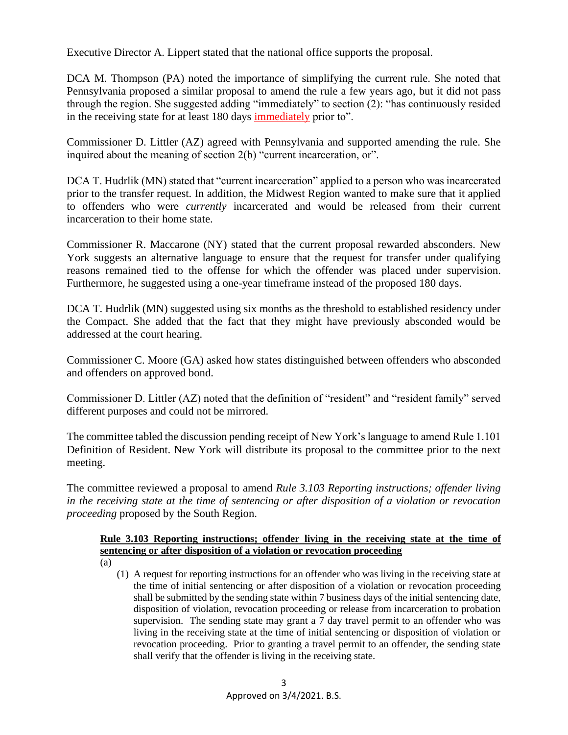Executive Director A. Lippert stated that the national office supports the proposal.

DCA M. Thompson (PA) noted the importance of simplifying the current rule. She noted that Pennsylvania proposed a similar proposal to amend the rule a few years ago, but it did not pass through the region. She suggested adding "immediately" to section (2): "has continuously resided in the receiving state for at least 180 days immediately prior to".

Commissioner D. Littler (AZ) agreed with Pennsylvania and supported amending the rule. She inquired about the meaning of section 2(b) "current incarceration, or".

DCA T. Hudrlik (MN) stated that "current incarceration" applied to a person who was incarcerated prior to the transfer request. In addition, the Midwest Region wanted to make sure that it applied to offenders who were *currently* incarcerated and would be released from their current incarceration to their home state.

Commissioner R. Maccarone (NY) stated that the current proposal rewarded absconders. New York suggests an alternative language to ensure that the request for transfer under qualifying reasons remained tied to the offense for which the offender was placed under supervision. Furthermore, he suggested using a one-year timeframe instead of the proposed 180 days.

DCA T. Hudrlik (MN) suggested using six months as the threshold to established residency under the Compact. She added that the fact that they might have previously absconded would be addressed at the court hearing.

Commissioner C. Moore (GA) asked how states distinguished between offenders who absconded and offenders on approved bond.

Commissioner D. Littler (AZ) noted that the definition of "resident" and "resident family" served different purposes and could not be mirrored.

The committee tabled the discussion pending receipt of New York's language to amend Rule 1.101 Definition of Resident. New York will distribute its proposal to the committee prior to the next meeting.

The committee reviewed a proposal to amend *Rule 3.103 Reporting instructions; offender living in the receiving state at the time of sentencing or after disposition of a violation or revocation proceeding* proposed by the South Region.

# **Rule 3.103 Reporting instructions; offender living in the receiving state at the time of sentencing or after disposition of a violation or revocation proceeding**

- (a)
	- (1) A request for reporting instructions for an offender who was living in the receiving state at the time of initial sentencing or after disposition of a violation or revocation proceeding shall be submitted by the sending state within 7 business days of the initial sentencing date, disposition of violation, revocation proceeding or release from incarceration to probation supervision. The sending state may grant a 7 day travel permit to an offender who was living in the receiving state at the time of initial sentencing or disposition of violation or revocation proceeding. Prior to granting a travel permit to an offender, the sending state shall verify that the offender is living in the receiving state.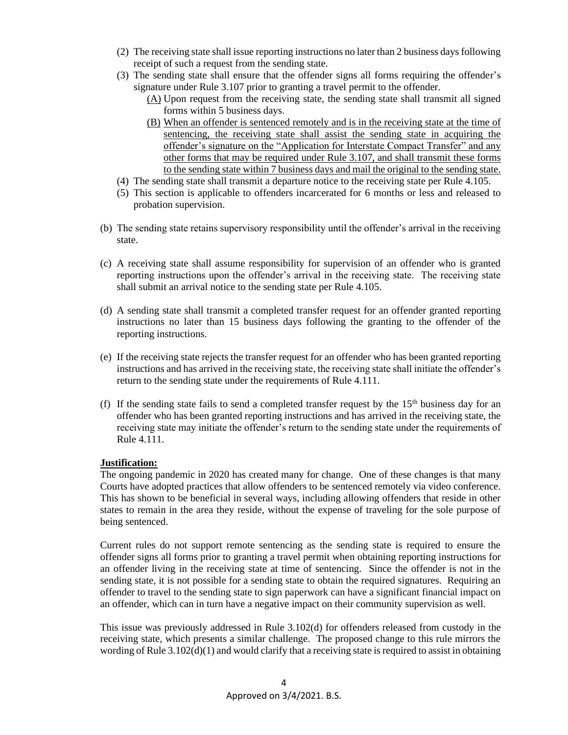- (2) The receiving state shall issue reporting instructions no later than 2 business days following receipt of such a request from the sending state.
- (3) The sending state shall ensure that the offender signs all forms requiring the offender's signature under Rule 3.107 prior to granting a travel permit to the offender.
	- (A) Upon request from the receiving state, the sending state shall transmit all signed forms within 5 business days.
	- (B) When an offender is sentenced remotely and is in the receiving state at the time of sentencing, the receiving state shall assist the sending state in acquiring the offender's signature on the "Application for Interstate Compact Transfer" and any other forms that may be required under Rule 3.107, and shall transmit these forms to the sending state within 7 business days and mail the original to the sending state.
- (4) The sending state shall transmit a departure notice to the receiving state per Rule 4.105.
- (5) This section is applicable to offenders incarcerated for 6 months or less and released to probation supervision.
- (b) The sending state retains supervisory responsibility until the offender's arrival in the receiving state.
- (c) A receiving state shall assume responsibility for supervision of an offender who is granted reporting instructions upon the offender's arrival in the receiving state. The receiving state shall submit an arrival notice to the sending state per Rule 4.105.
- (d) A sending state shall transmit a completed transfer request for an offender granted reporting instructions no later than 15 business days following the granting to the offender of the reporting instructions.
- (e) If the receiving state rejects the transfer request for an offender who has been granted reporting instructions and has arrived in the receiving state, the receiving state shall initiate the offender's return to the sending state under the requirements of Rule 4.111.
- (f) If the sending state fails to send a completed transfer request by the  $15<sup>th</sup>$  business day for an offender who has been granted reporting instructions and has arrived in the receiving state, the receiving state may initiate the offender's return to the sending state under the requirements of Rule 4.111.

#### **Justification:**

The ongoing pandemic in 2020 has created many for change. One of these changes is that many Courts have adopted practices that allow offenders to be sentenced remotely via video conference. This has shown to be beneficial in several ways, including allowing offenders that reside in other states to remain in the area they reside, without the expense of traveling for the sole purpose of being sentenced.

Current rules do not support remote sentencing as the sending state is required to ensure the offender signs all forms prior to granting a travel permit when obtaining reporting instructions for an offender living in the receiving state at time of sentencing. Since the offender is not in the sending state, it is not possible for a sending state to obtain the required signatures. Requiring an offender to travel to the sending state to sign paperwork can have a significant financial impact on an offender, which can in turn have a negative impact on their community supervision as well.

This issue was previously addressed in Rule 3.102(d) for offenders released from custody in the receiving state, which presents a similar challenge. The proposed change to this rule mirrors the wording of Rule 3.102(d)(1) and would clarify that a receiving state is required to assist in obtaining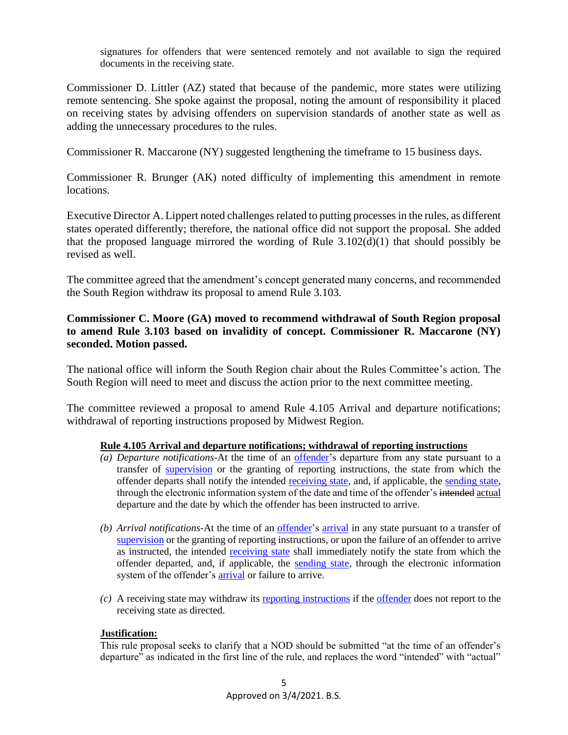signatures for offenders that were sentenced remotely and not available to sign the required documents in the receiving state.

Commissioner D. Littler (AZ) stated that because of the pandemic, more states were utilizing remote sentencing. She spoke against the proposal, noting the amount of responsibility it placed on receiving states by advising offenders on supervision standards of another state as well as adding the unnecessary procedures to the rules.

Commissioner R. Maccarone (NY) suggested lengthening the timeframe to 15 business days.

Commissioner R. Brunger (AK) noted difficulty of implementing this amendment in remote locations.

Executive Director A. Lippert noted challenges related to putting processes in the rules, as different states operated differently; therefore, the national office did not support the proposal. She added that the proposed language mirrored the wording of Rule  $3.102(d)(1)$  that should possibly be revised as well.

The committee agreed that the amendment's concept generated many concerns, and recommended the South Region withdraw its proposal to amend Rule 3.103.

## **Commissioner C. Moore (GA) moved to recommend withdrawal of South Region proposal to amend Rule 3.103 based on invalidity of concept. Commissioner R. Maccarone (NY) seconded. Motion passed.**

The national office will inform the South Region chair about the Rules Committee's action. The South Region will need to meet and discuss the action prior to the next committee meeting.

The committee reviewed a proposal to amend Rule 4.105 Arrival and departure notifications; withdrawal of reporting instructions proposed by Midwest Region.

### **Rule 4.105 Arrival and departure notifications; withdrawal of reporting instructions**

- *(a) Departure notifications*-At the time of an [offender'](file:///C:/Users/bsaturday/Desktop/RulesMinutes_Feb_DRAFT.docx%23Def_Offender)s departure from any state pursuant to a transfer of [supervision](file:///C:/Users/bsaturday/Desktop/RulesMinutes_Feb_DRAFT.docx%23Def_Supervision) or the granting of reporting instructions, the state from which the offender departs shall notify the intended [receiving state,](file:///C:/Users/bsaturday/Desktop/RulesMinutes_Feb_DRAFT.docx%23Def_ReceivingSstate) and, if applicable, the [sending state,](file:///C:/Users/bsaturday/Desktop/RulesMinutes_Feb_DRAFT.docx%23Def_SendingState) through the electronic information system of the date and time of the offender's intended actual departure and the date by which the offender has been instructed to arrive.
- *(b) Arrival notifications-*At the time of an [offender'](file:///C:/Users/bsaturday/Desktop/RulesMinutes_Feb_DRAFT.docx%23Def_Offender)s [arrival](file:///C:/Users/bsaturday/Desktop/RulesMinutes_Feb_DRAFT.docx%23Def_Arrival) in any state pursuant to a transfer of [supervision](file:///C:/Users/bsaturday/Desktop/RulesMinutes_Feb_DRAFT.docx%23Def_Supervision) or the granting of reporting instructions, or upon the failure of an offender to arrive as instructed, the intended [receiving state](file:///C:/Users/bsaturday/Desktop/RulesMinutes_Feb_DRAFT.docx%23Def_ReceivingSstate) shall immediately notify the state from which the offender departed, and, if applicable, the [sending state,](file:///C:/Users/bsaturday/Desktop/RulesMinutes_Feb_DRAFT.docx%23Def_SendingState) through the electronic information system of the offender's [arrival](file:///C:/Users/bsaturday/Desktop/RulesMinutes_Feb_DRAFT.docx%23Def_Arrival) or failure to arrive.
- *(c)* A receiving state may withdraw its [reporting instructions](file:///C:/Users/bsaturday/Desktop/RulesMinutes_Feb_DRAFT.docx%23Def_ReportingInstructions) if the [offender](file:///C:/Users/bsaturday/Desktop/RulesMinutes_Feb_DRAFT.docx%23Def_Offender) does not report to the receiving state as directed.

### **Justification:**

This rule proposal seeks to clarify that a NOD should be submitted "at the time of an offender's departure" as indicated in the first line of the rule, and replaces the word "intended" with "actual"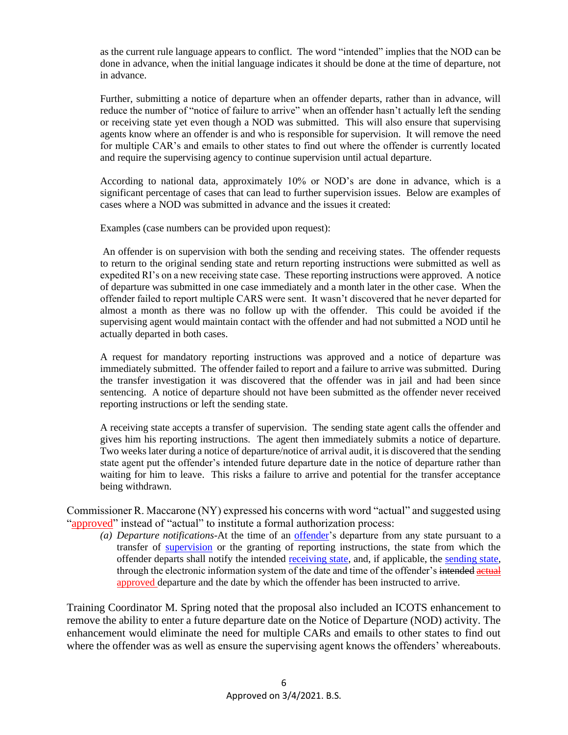as the current rule language appears to conflict. The word "intended" implies that the NOD can be done in advance, when the initial language indicates it should be done at the time of departure, not in advance.

Further, submitting a notice of departure when an offender departs, rather than in advance, will reduce the number of "notice of failure to arrive" when an offender hasn't actually left the sending or receiving state yet even though a NOD was submitted. This will also ensure that supervising agents know where an offender is and who is responsible for supervision. It will remove the need for multiple CAR's and emails to other states to find out where the offender is currently located and require the supervising agency to continue supervision until actual departure.

According to national data, approximately 10% or NOD's are done in advance, which is a significant percentage of cases that can lead to further supervision issues. Below are examples of cases where a NOD was submitted in advance and the issues it created:

Examples (case numbers can be provided upon request):

An offender is on supervision with both the sending and receiving states. The offender requests to return to the original sending state and return reporting instructions were submitted as well as expedited RI's on a new receiving state case. These reporting instructions were approved. A notice of departure was submitted in one case immediately and a month later in the other case. When the offender failed to report multiple CARS were sent. It wasn't discovered that he never departed for almost a month as there was no follow up with the offender. This could be avoided if the supervising agent would maintain contact with the offender and had not submitted a NOD until he actually departed in both cases.

A request for mandatory reporting instructions was approved and a notice of departure was immediately submitted. The offender failed to report and a failure to arrive was submitted. During the transfer investigation it was discovered that the offender was in jail and had been since sentencing. A notice of departure should not have been submitted as the offender never received reporting instructions or left the sending state.

A receiving state accepts a transfer of supervision. The sending state agent calls the offender and gives him his reporting instructions. The agent then immediately submits a notice of departure. Two weeks later during a notice of departure/notice of arrival audit, it is discovered that the sending state agent put the offender's intended future departure date in the notice of departure rather than waiting for him to leave. This risks a failure to arrive and potential for the transfer acceptance being withdrawn.

Commissioner R. Maccarone (NY) expressed his concerns with word "actual" and suggested using "approved" instead of "actual" to institute a formal authorization process:

*(a) Departure notifications*-At the time of an [offender'](file:///C:/Users/bsaturday/Desktop/RulesMinutes_Feb_DRAFT.docx%23Def_Offender)s departure from any state pursuant to a transfer of [supervision](file:///C:/Users/bsaturday/Desktop/RulesMinutes_Feb_DRAFT.docx%23Def_Supervision) or the granting of reporting instructions, the state from which the offender departs shall notify the intended [receiving state,](file:///C:/Users/bsaturday/Desktop/RulesMinutes_Feb_DRAFT.docx%23Def_ReceivingSstate) and, if applicable, the [sending state,](file:///C:/Users/bsaturday/Desktop/RulesMinutes_Feb_DRAFT.docx%23Def_SendingState) through the electronic information system of the date and time of the offender's intended actual approved departure and the date by which the offender has been instructed to arrive.

Training Coordinator M. Spring noted that the proposal also included an ICOTS enhancement to remove the ability to enter a future departure date on the Notice of Departure (NOD) activity. The enhancement would eliminate the need for multiple CARs and emails to other states to find out where the offender was as well as ensure the supervising agent knows the offenders' whereabouts.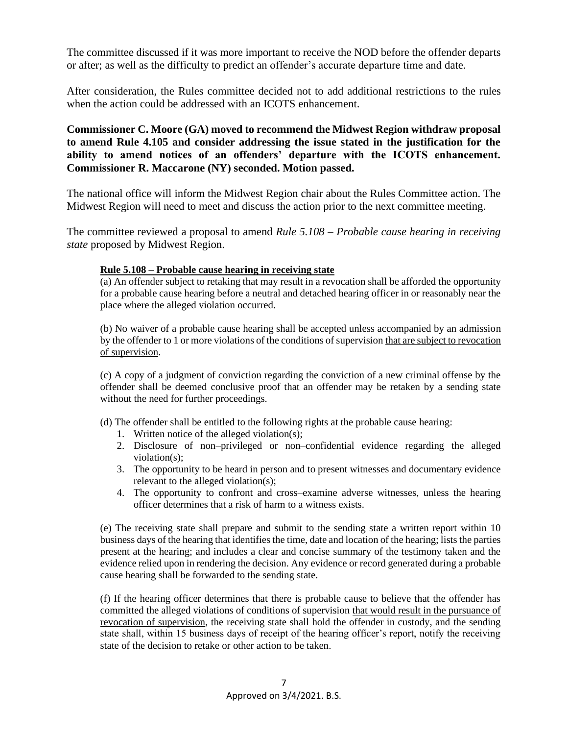The committee discussed if it was more important to receive the NOD before the offender departs or after; as well as the difficulty to predict an offender's accurate departure time and date.

After consideration, the Rules committee decided not to add additional restrictions to the rules when the action could be addressed with an ICOTS enhancement.

**Commissioner C. Moore (GA) moved to recommend the Midwest Region withdraw proposal to amend Rule 4.105 and consider addressing the issue stated in the justification for the ability to amend notices of an offenders' departure with the ICOTS enhancement. Commissioner R. Maccarone (NY) seconded. Motion passed.** 

The national office will inform the Midwest Region chair about the Rules Committee action. The Midwest Region will need to meet and discuss the action prior to the next committee meeting.

The committee reviewed a proposal to amend *Rule 5.108 – Probable cause hearing in receiving state* proposed by Midwest Region.

#### **Rule 5.108 – Probable cause hearing in receiving state**

(a) An offender subject to retaking that may result in a revocation shall be afforded the opportunity for a probable cause hearing before a neutral and detached hearing officer in or reasonably near the place where the alleged violation occurred.

(b) No waiver of a probable cause hearing shall be accepted unless accompanied by an admission by the offender to 1 or more violations of the conditions of supervision that are subject to revocation of supervision.

(c) A copy of a judgment of conviction regarding the conviction of a new criminal offense by the offender shall be deemed conclusive proof that an offender may be retaken by a sending state without the need for further proceedings.

- (d) The offender shall be entitled to the following rights at the probable cause hearing:
	- 1. Written notice of the alleged violation(s);
	- 2. Disclosure of non–privileged or non–confidential evidence regarding the alleged violation(s);
	- 3. The opportunity to be heard in person and to present witnesses and documentary evidence relevant to the alleged violation(s);
	- 4. The opportunity to confront and cross–examine adverse witnesses, unless the hearing officer determines that a risk of harm to a witness exists.

(e) The receiving state shall prepare and submit to the sending state a written report within 10 business days of the hearing that identifies the time, date and location of the hearing; lists the parties present at the hearing; and includes a clear and concise summary of the testimony taken and the evidence relied upon in rendering the decision. Any evidence or record generated during a probable cause hearing shall be forwarded to the sending state.

(f) If the hearing officer determines that there is probable cause to believe that the offender has committed the alleged violations of conditions of supervision that would result in the pursuance of revocation of supervision, the receiving state shall hold the offender in custody, and the sending state shall, within 15 business days of receipt of the hearing officer's report, notify the receiving state of the decision to retake or other action to be taken.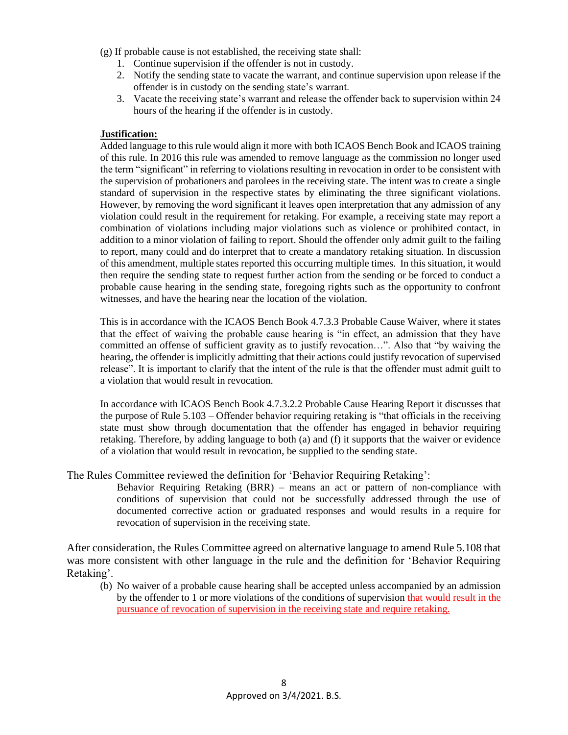- (g) If probable cause is not established, the receiving state shall:
	- 1. Continue supervision if the offender is not in custody.
	- 2. Notify the sending state to vacate the warrant, and continue supervision upon release if the offender is in custody on the sending state's warrant.
	- 3. Vacate the receiving state's warrant and release the offender back to supervision within 24 hours of the hearing if the offender is in custody.

#### **Justification:**

Added language to this rule would align it more with both ICAOS Bench Book and ICAOS training of this rule. In 2016 this rule was amended to remove language as the commission no longer used the term "significant" in referring to violations resulting in revocation in order to be consistent with the supervision of probationers and parolees in the receiving state. The intent was to create a single standard of supervision in the respective states by eliminating the three significant violations. However, by removing the word significant it leaves open interpretation that any admission of any violation could result in the requirement for retaking. For example, a receiving state may report a combination of violations including major violations such as violence or prohibited contact, in addition to a minor violation of failing to report. Should the offender only admit guilt to the failing to report, many could and do interpret that to create a mandatory retaking situation. In discussion of this amendment, multiple states reported this occurring multiple times. In this situation, it would then require the sending state to request further action from the sending or be forced to conduct a probable cause hearing in the sending state, foregoing rights such as the opportunity to confront witnesses, and have the hearing near the location of the violation.

This is in accordance with the ICAOS Bench Book 4.7.3.3 Probable Cause Waiver, where it states that the effect of waiving the probable cause hearing is "in effect, an admission that they have committed an offense of sufficient gravity as to justify revocation…". Also that "by waiving the hearing, the offender is implicitly admitting that their actions could justify revocation of supervised release". It is important to clarify that the intent of the rule is that the offender must admit guilt to a violation that would result in revocation.

In accordance with ICAOS Bench Book 4.7.3.2.2 Probable Cause Hearing Report it discusses that the purpose of Rule 5.103 – Offender behavior requiring retaking is "that officials in the receiving state must show through documentation that the offender has engaged in behavior requiring retaking. Therefore, by adding language to both (a) and (f) it supports that the waiver or evidence of a violation that would result in revocation, be supplied to the sending state.

#### The Rules Committee reviewed the definition for 'Behavior Requiring Retaking':

Behavior Requiring Retaking (BRR) – means an act or pattern of non-compliance with conditions of supervision that could not be successfully addressed through the use of documented corrective action or graduated responses and would results in a require for revocation of supervision in the receiving state.

After consideration, the Rules Committee agreed on alternative language to amend Rule 5.108 that was more consistent with other language in the rule and the definition for 'Behavior Requiring Retaking'.

(b) No waiver of a probable cause hearing shall be accepted unless accompanied by an admission by the offender to 1 or more violations of the conditions of supervision that would result in the pursuance of revocation of supervision in the receiving state and require retaking.